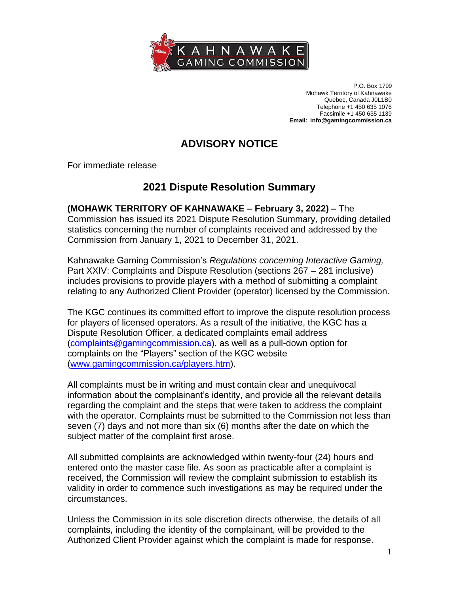

P.O. Box 1799 Mohawk Territory of Kahnawake Quebec, Canada J0L1B0 Telephone +1 450 635 1076 Facsimile +1 450 635 1139 **Email: [info@gamingcommission.ca](mailto:info@gamingcommission.ca)**

## **ADVISORY NOTICE**

For immediate release

## **2021 Dispute Resolution Summary**

**(MOHAWK TERRITORY OF KAHNAWAKE – February 3, 2022) –** The Commission has issued its 2021 Dispute Resolution Summary, providing detailed statistics concerning the number of complaints received and addressed by the Commission from January 1, 2021 to December 31, 2021.

Kahnawake Gaming Commission's *Regulations concerning Interactive Gaming,*  Part XXIV: Complaints and Dispute Resolution (sections 267 – 281 inclusive) includes provisions to provide players with a method of submitting a complaint relating to any Authorized Client Provider (operator) licensed by the Commission.

The KGC continues its committed effort to improve the dispute resolution process for players of licensed operators. As a result of the initiative, the KGC has a Dispute Resolution Officer, a dedicated complaints email address [\(complaints@gamingcommission.ca\)](mailto:complaints@gamingcommission.ca), as well as a pull-down option for complaints on the "Players" section of the KGC website [\(www.gamingcommission.ca/players.htm\)](http://www.gamingcommission.ca/players.htm).

All complaints must be in writing and must contain clear and unequivocal information about the complainant's identity, and provide all the relevant details regarding the complaint and the steps that were taken to address the complaint with the operator. Complaints must be submitted to the Commission not less than seven (7) days and not more than six (6) months after the date on which the subject matter of the complaint first arose.

All submitted complaints are acknowledged within twenty-four (24) hours and entered onto the master case file. As soon as practicable after a complaint is received, the Commission will review the complaint submission to establish its validity in order to commence such investigations as may be required under the circumstances.

Unless the Commission in its sole discretion directs otherwise, the details of all complaints, including the identity of the complainant, will be provided to the Authorized Client Provider against which the complaint is made for response.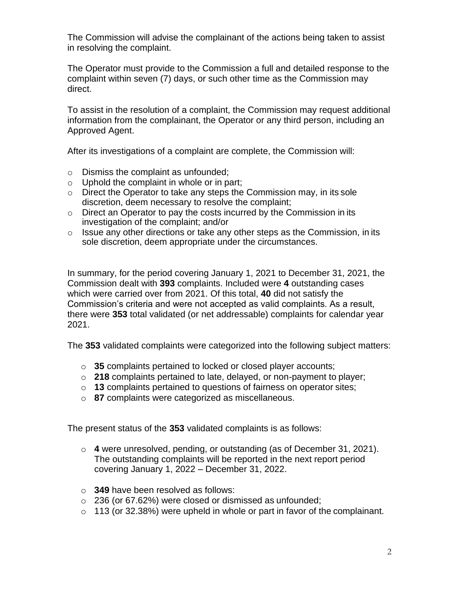The Commission will advise the complainant of the actions being taken to assist in resolving the complaint.

The Operator must provide to the Commission a full and detailed response to the complaint within seven (7) days, or such other time as the Commission may direct.

To assist in the resolution of a complaint, the Commission may request additional information from the complainant, the Operator or any third person, including an Approved Agent.

After its investigations of a complaint are complete, the Commission will:

- o Dismiss the complaint as unfounded;
- $\circ$  Uphold the complaint in whole or in part;
- $\circ$  Direct the Operator to take any steps the Commission may, in its sole discretion, deem necessary to resolve the complaint;
- $\circ$  Direct an Operator to pay the costs incurred by the Commission in its investigation of the complaint; and/or
- $\circ$  Issue any other directions or take any other steps as the Commission, in its sole discretion, deem appropriate under the circumstances.

In summary, for the period covering January 1, 2021 to December 31, 2021, the Commission dealt with **393** complaints. Included were **4** outstanding cases which were carried over from 2021. Of this total, **40** did not satisfy the Commission's criteria and were not accepted as valid complaints. As a result, there were **353** total validated (or net addressable) complaints for calendar year 2021.

The **353** validated complaints were categorized into the following subject matters:

- o **35** complaints pertained to locked or closed player accounts;
- o **218** complaints pertained to late, delayed, or non-payment to player;
- o **13** complaints pertained to questions of fairness on operator sites;
- o **87** complaints were categorized as miscellaneous.

The present status of the **353** validated complaints is as follows:

- o **4** were unresolved, pending, or outstanding (as of December 31, 2021). The outstanding complaints will be reported in the next report period covering January 1, 2022 – December 31, 2022.
- o **349** have been resolved as follows:
- o 236 (or 67.62%) were closed or dismissed as unfounded;
- $\circ$  113 (or 32.38%) were upheld in whole or part in favor of the complainant.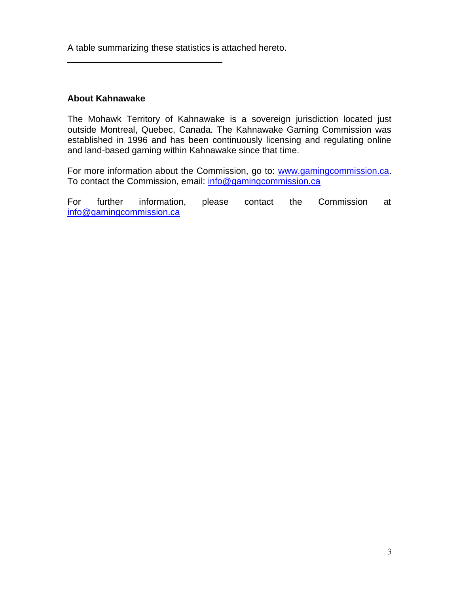A table summarizing these statistics is attached hereto.

## **About Kahnawake**

The Mohawk Territory of Kahnawake is a sovereign jurisdiction located just outside Montreal, Quebec, Canada. The Kahnawake Gaming Commission was established in 1996 and has been continuously licensing and regulating online and land-based gaming within Kahnawake since that time.

For more information about the Commission, go to: [www.gamingcommission.ca.](http://www.gamingcommission.ca/) To contact the Commission, email: [info@gamingcommission.ca](mailto:info@gamingcommission.ca)

For further information, please contact the Commission at [info@gamingcommission.ca](mailto:info@gamingcommission.ca)